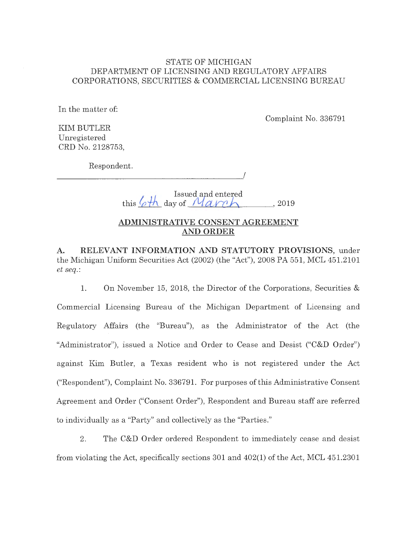## STATE OF MICHIGAN DEPARTMENT OF LICENSING AND REGULATORY AFFAIRS CORPORATIONS, SECURITIES & COMMERCIAL LICENSING BUREAU

In the matter of:

Complaint No. 336791

KIM BUTLER Unregistered CRD No. 2128753,

Respondent.

 $\overline{\phantom{a}}$ 

 $I<sub>1</sub>$  Issued, and entered

this  $\varphi$ th day of  $M$ *arch* ..., 2019

## **ADMINISTRATIVE CONSENT AGREEMENT AND ORDER**

**A. RELEVANT INFORMATION AND STATUTORY PROVISIONS,** under the Michigan Uniform Securities Act (2002) (the "Act"), 2008 PA 551, MCL 451.2101 *et seq.:* 

1. On November 15, 2018, the Director of the Corporations, Securities & Commercial Licensing Bureau of the Michigan Department of Licensing and Regulatory Affairs (the "Bureau"), as the Administrator of the Act (the "Administrator"), issued a Notice and Order to Cease and Desist ("C&D Order") against Kim Butler, a Texas resident who is not registered under the Act ("Respondent"), Complaint No. 336791. For purposes of this Administrative Consent Agreement and Order ("Consent Order"), Respondent and Bureau staff are referred to individually as a "Party" and collectively as the "Parties."

2. The C&D Order ordered Respondent to immediately cease and desist from violating the Act, specifically sections 301 and 402(1) of the Act, MCL 451.2301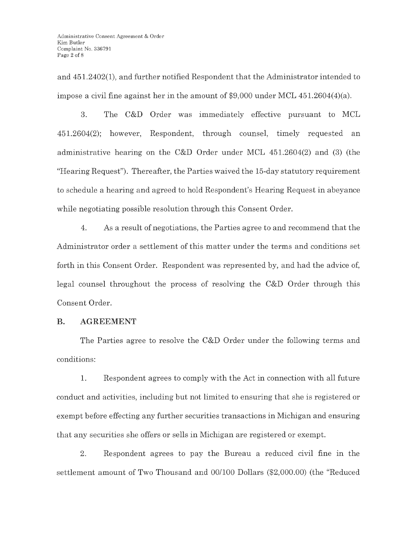and 451.2402(1), and further notified Respondent that the Administrator intended to impose a civil fine against her in the amount of \$9,000 under MCL 451.2604(4)(a).

3. The C&D Order was immediately effective pursuant to MCL 451.2604(2); however, Respondent, through counsel, timely requested an administrative hearing on the C&D Order under MCL 451.2604(2) and (3) (the "Hearing Request"). Thereafter, the Parties waived the 15-day statutory requirement to schedule a hearing and agreed to hold Respondent's Hearing Request in abeyance while negotiating possible resolution through this Consent Order.

4. As a result of negotiations, the Parties agree to and recommend that the Administrator order a settlement of this matter under the terms and conditions set forth in this Consent Order. Respondent was represented by, and had the advice of, legal counsel throughout the process of resolving the C&D Order through this Consent Order.

#### **B. AGREEMENT**

The Parties agree to resolve the C&D Order under the following terms and conditions:

**1.** Respondent agrees to comply with the Act in connection with all future conduct and activities, including but not limited to ensuring that she is registered or exempt before effecting any further securities transactions in Michigan and ensuring that any securities she offers or sells in Michigan are registered or exempt.

2. Respondent agrees to pay the Bureau a reduced civil fine in the settlement amount of Two Thousand and 00/100 Dollars (\$2,000.00) (the "Reduced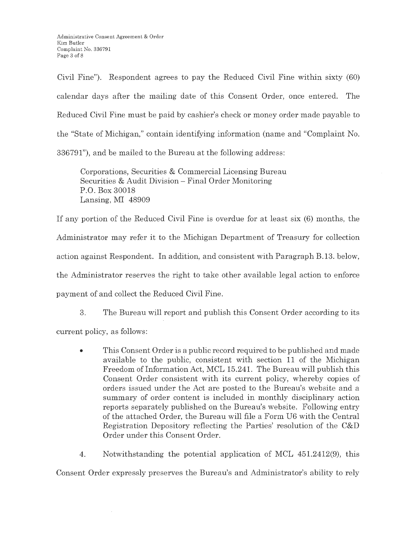Civil Fine"). Respondent agrees to pay the Reduced Civil Fine within sixty (60) calendar days after the mailing date of this Consent Order, once entered. The Reduced Civil Fine must be paid by cashier's check or money order made payable to the "State of Michigan," contain identifying information (name and "Complaint No. 336791"), and be mailed to the Bureau at the following address:

Corporations, Securities & Commercial Licensing Bureau Securities & Audit Division - Final Order Monitoring P.O. Box 30018 Lansing, MI 48909

If any portion of the Reduced Civil Fine is overdue for at least six (6) months, the Administrator may refer it to the Michigan Department of Treasury for collection action against Respondent. In addition, and consistent with Paragraph B.13. below, the Administrator reserves the right to take other available legal action to enforce payment of and collect the Reduced Civil Fine.

3. The Bureau will report and publish this Consent Order according to its current policy, as follows:

- This Consent Order is a public record required to be published and made available to the public, consistent with section 11 of the Michigan Freedom of Information Act, MCL 15.241. The Bureau will publish this Consent Order consistent with its current policy, whereby copies of orders issued under the Act are posted to the Bureau's website and a summary of order content is included in monthly disciplinary action reports separately published on the Bureau's website. Following entry of the attached Order, the Bureau will file a Form U6 with the Central Registration Depository reflecting the Parties' resolution of the C&D Order under this Consent Order.
- 4. Notwithstanding the potential application of MCL 451.2412(9), this

Consent Order expressly preserves the Bureau's and Administrator's ability to rely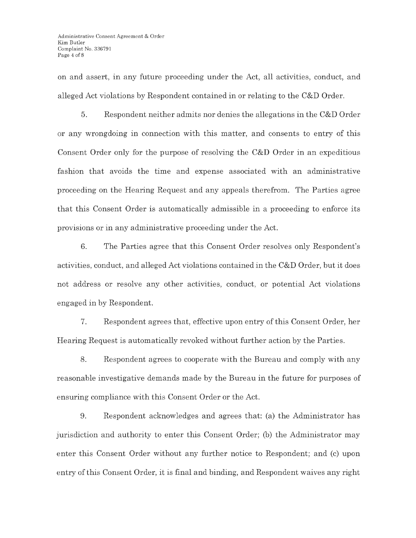on and assert, in any future proceeding under the Act, all activities, conduct, and alleged Act violations by Respondent contained in or relating to the C&D Order.

5. Respondent neither admits nor denies the allegations in the C&D Order or any wrongdoing in connection with this matter, and consents to entry of this Consent Order only for the purpose of resolving the C&D Order in an expeditious fashion that avoids the time and expense associated with an administrative proceeding on the Hearing Request and any appeals therefrom. The Parties agree that this Consent Order is automatically admissible in a proceeding to enforce its provisions or in any administrative proceeding under the Act.

6. The Parties agree that this Consent Order resolves only Respondent's activities, conduct, and alleged Act violations contained in the C&D Order, but it does not address or resolve any other activities, conduct, or potential Act violations engaged in by Respondent.

7. Respondent agrees that, effective upon entry of this Consent Order, her Hearing Request is automatically revoked without further action by the Parties.

8. Respondent agrees to cooperate with the Bureau and comply with any reasonable investigative demands made by the Bureau in the future for purposes of ensuring compliance with this Consent Order or the Act.

9. Respondent acknowledges and agrees that: (a) the Administrator has jurisdiction and authority to enter this Consent Order; (b) the Administrator may enter this Consent Order without any further notice to Respondent; and (c) upon entry of this Consent Order, it is final and binding, and Respondent waives any right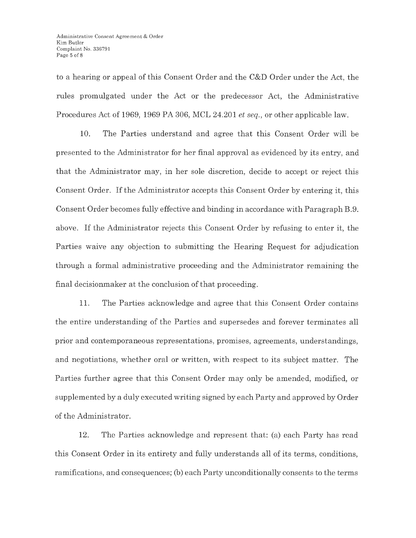to a hearing or appeal of this Consent Order and the C&D Order under the Act, the rules promulgated under the Act or the predecessor Act, the Administrative Procedures Act of 1969, 1969 PA 306, MCL 24.201 *et seq.,* or other applicable law.

10. The Parties understand and agree that this Consent-Order will be presented to the Administrator for her final approval as evidenced by its entry, and that the Administrator may, in her sole discretion, decide to accept or reject this Consent Order. If the Administrator accepts this Consent Order by entering it, this Consent Order becomes fully effective and binding in accordance with Paragraph B.9. above. If the Administrator rejects this Consent Order by refusing to enter it, the Parties waive any objection to submitting the Hearing Request for adjudication through a formal administrative proceeding and the Administrator remaining the final decisionmaker at the conclusion of that proceeding.

11. The Parties acknowledge and agree that this Consent Order contains the entire understanding of the Parties and supersedes and forever terminates all prior and contemporaneous representations, promises, agreements, understandings, and negotiations, whether oral or written, with respect to its subject matter. The Parties further agree that this Consent Order may only be amended, modified, or supplemented by a duly executed writing signed by each Party and approved by Order of the Administrator.

12. The Parties acknowledge and represent that: (a) each Party has read this Consent Order in its entirety and fully understands all of its terms, conditions, ramifications, and consequences; (b) each Party unconditionally consents to the terms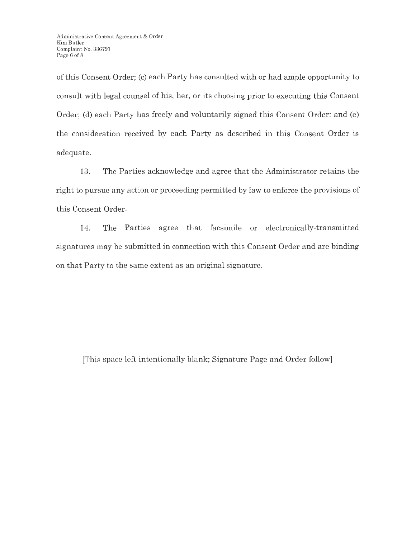of this Consent Order; (c) each Party has consulted with or had ample opportunity to consult with legal counsel of his, her, or its choosing prior to executing this Consent Order; (d) each Party has freely and voluntarily signed this Consent Order; and (e) the consideration received by each Party as described in this Consent Order is adequate.

13. The Parties acknowledge and agree that the Administrator retains the right to pursue any action or proceeding permitted by law to enforce the provisions of this Consent Order.

14. The Parties agree that facsimile or electronically-transmitted signatures may be submitted in connection with this Consent Order and are binding on that Party to the same extent as an original signature.

[This space left intentionally blank; Signature Page and Order follow]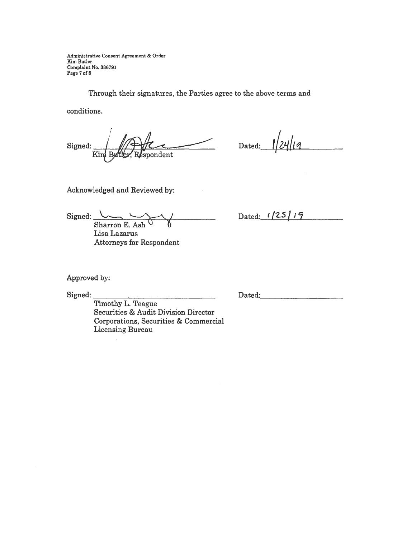Administrative Consent Agreement & Order Kim Butler Complaint No. 336791 Page 7 **of <sup>8</sup>**

Through their signatures, the Parties agree to the above terms and

conditions.

Signed: Kin Butler, Respondent **/@IL~-\_ \_\_\_\_,** 

 $Dated: 1/24/19$ 

Acknowledged and Reviewed by:

 $Signed:$  Sharron E. Ash Sharron E. Ash Lisa Lazarus Attorneys for Respondent Dated: **125/19** 

Approved by:

Signed:

Timothy L. Teague Securities & Audit Division Director Corporations, Securities & Commercial Licensing Bureau

Dated:\_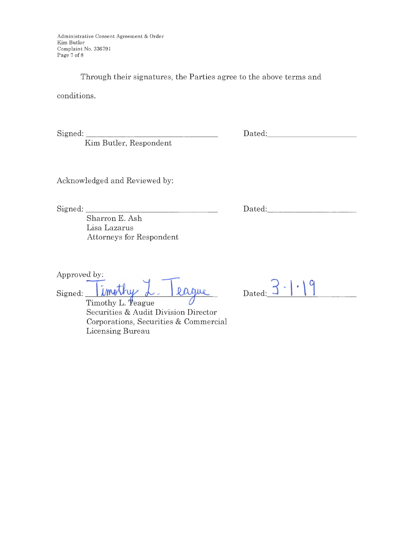Administrative Consent Agreement & Order Kim Butler Complaint No. 336791 Page 7 of 8

Through their signatures, the Parties agree to the above terms and

conditions.

Signed: \_\_\_\_\_\_\_\_\_\_\_\_\_ \_

Kim Butler, Respondent

Dated: -----------

Acknowledged and Reviewed by:

Signed: \_\_\_\_\_\_\_\_\_\_\_\_\_\_\_ \_

Dated: \_\_\_\_\_\_\_\_\_ \_

Sharron E. Ash Lisa Lazarus Attorneys for Respondent

Approved by:

Signed: **Timothy** L. Rague

Timothy L. Teague Securities & Audit Division Director Corporations, Securities & Commercial Licensing Bureau

| Dated: |  |  |  |
|--------|--|--|--|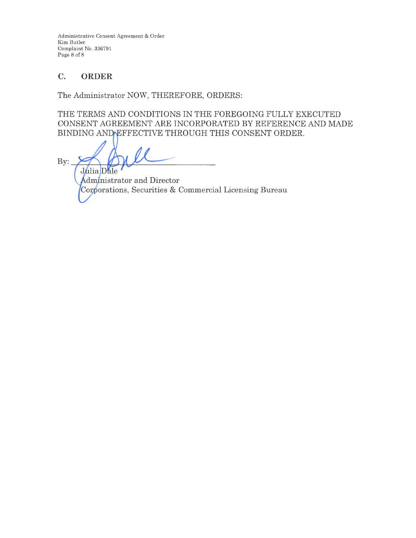Administrative Consent Agreement & Order Kim Butler Complaint No. 336791 Page 8 of 8

# **C. ORDER**

The Administrator NOW, THEREFORE, ORDERS:

THE TERMS AND CONDITIONS IN THE FOREGOING FULLY EXECUTED CONSENT AGREEMENT ARE INCORPORATED BY REFERENCE AND MADE BINDING AND EFFECTIVE THROUGH THIS CONSENT ORDER.

By: Julia Dale

Administrator and Director Corporations, Securities & Commercial Licensing Bureau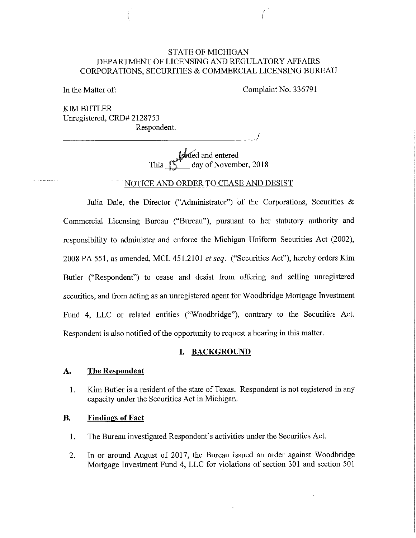## STATE OF MICHIGAN DEPARTMENT OF LICENSING AND REGULATORY AFFAIRS CORPORATIONS, SECURITIES & COMMERCIAL LICENSING BUREAU

In the Matter of:

Complaint No. 336791

KIM BUTLER Umegistered, CRD# 2128753 Respondent. Respondent.<br>————————————————————/

> JWed and entered This **IS** day of November, 2018

NOTICE AND ORDER TO CEASE AND DESIST

Julia Dale, the Director ("Administrator") of the Corporations, Securities & Commercial Licensing Bureau ("Bureau"), pursuant to her statutory authority and responsibility to administer and enforce the Michigan Uniform Securities Act (2002), 2008 PA 551, as amended, MCL 451.2101 *et seq.* ("Securities Act"), hereby orders Kim Butler ("Respondent") to cease and desist from offering and selling umegistered securities, and from acting as an umegistered agent for Woodbridge Mortgage Investment Fund 4, LLC or related entities ("Woodbridge"), contrary to the Securities Act. Respondent is also notified of the opportunity to request a hearing in this matter.

#### **I. BACKGROUND**

### **A. The Respondent**

1. Kim Butler is a resident of the state of Texas. Respondent is not registered in any capacity under the Securities Act in Michigan.

#### **B. Findings of Fact**

- 1. The Bureau investigated Respondent's activities under the Securities Act.
- 2. In or around August of 2017, the Bureau issued an order against Woodbridge Mortgage Investment Fund 4, LLC for violations of section 301 and section 501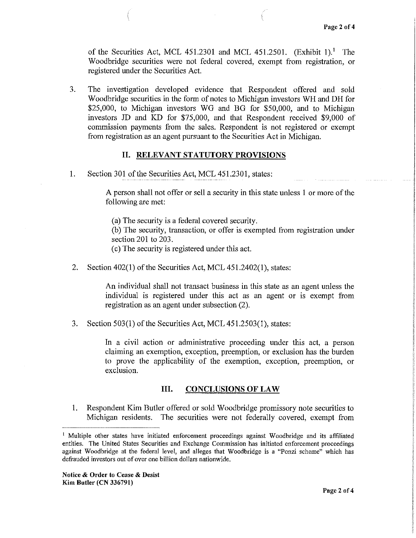of the Securities Act, MCL 451.2301 and MCL 451.2501. (Exhibit 1).<sup>1</sup> The Woodbridge securities were not federal covered, exempt from registration, or registered under the Securities Act.

3. The investigation developed evidence that Respondent offered and sold Woodbridge securities in the form of notes to Michigan investors WH and DH for \$25,000, to Michigan investors WG and BG for \$50,000, and to Michigan investors JD and KD for \$75,000, and that Respondent received \$9,000 of commission payments from the sales. Respondent is not registered or exempt from registration as an agent pursuant to the Securities Act in Michigan.

## **11. RELEVANT STATUTORY PROVISIONS**

1. Section 301 of the Securities Act, MCL 451.2301, states:

A person shall not offer or sell a security in this state unless I or more of the following are met:

(a) The security is a federal covered security.

(b) The security, transaction, or offer is exempted from registration under section 201 to 203.

( c) The security is registered under this act.

2. Section 402(1) of the Securities Act, MCL 451.2402(1), states:

An individual shall not transact business in this state as an agent unless the individual is registered under this act as an agent or is exempt from registration as an agent under subsection (2).

3. Section 503(1) of the Securities Act, MCL 451.2503(1), states:

In a civil action or administrative proceeding under this act, a person claiming an exemption, exception, preemption, or exclusion has the burden to prove the applicability of the exemption, exception, preemption, or exclusion.

## III. **CONCLUSIONS OF LAW**

1. Respondent Kim Butler offered or sold Woodbridge promissory note securities to Michigan residents. The securities were not federally covered, exempt from

<sup>&</sup>lt;sup>1</sup> Multiple other states have initiated enforcement proceedings against Woodbridge and its affiliated entities. The United States Securities and Exchange Commission has initiated enforcement proceedings against Woodbridge at the federal level, and alleges that Woodbridge is a "Ponzi scheme" which has defrauded investors out of over one billion dollars nationwide.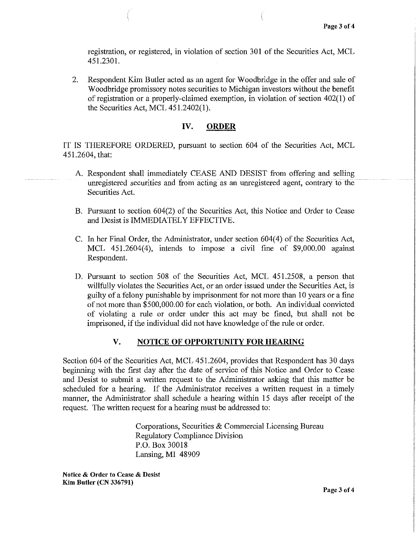registration, or registered, in violation of section 301 of the Securities Act, MCL 451.2301.

2. Respondent Kim Butler acted as an agent for Woodbridge in the offer and sale of Woodbridge promissory notes securities to Michigan investors without the benefit of registration or a properly-claimed exemption, in violation of section 402(1) of the Securities Act, MCL  $451.2402(1)$ .

### **IV. ORDER**

IT IS THEREFORE ORDERED, pursuant to section 604 of the Secmities Act, MCL 451.2604, that:

- A. Respondent shall immediately CEASE AND DESIST from offering and selling unregistered securities and from acting as an unregistered agent, contrary to the Securities Act.
- B. Pursuant to section 604(2) of the Securities Act, this Notice and Order to Cease and Desist is IMMEDIATELY EFFECTIVE.
- C. In her Final Order, the Administrator, under section 604(4) of the Securities Act, MCL 451.2604(4), intends to impose a civil fine of \$9,000.00 against Respondent.
- D. Pursuant to section 508 of the Securities Act, MCL 451.2508, a person that willfully violates the Securities Act, or an order issued under the Securities Act, is guilty of a felony punishable by imprisonment for not more than 10 years or a fine of not more than \$500,000.00 for each violation, or both. An individual convicted of violating a rule or order under this act may be fined, but shall not be imprisoned, if the individual did not have knowledge of the rule or order.

## **V. NOTICE OF OPPORTUNITY FOR HEARING**

Section 604 of the Securities Act, MCL 451.2604, provides that Respondent has 30 days beginning with the first day after the date of service of this Notice and Order to Cease and Desist to submit a written request to the Administrator asking that this matter be scheduled for a hearing. If the Administrator receives a written request in a timely manner, the Administrator shall schedule a hearing within 15 days after receipt of the request. The written request for a hearing must be addressed to:

> Corporations, Securities & Commercial Licensing Bureau Regulatory Compliance Division P.O.Box30018 Lansing, MI 48909

**Notice** & **Order to Cease** & **Desist Kim Butler (CN 336791)**